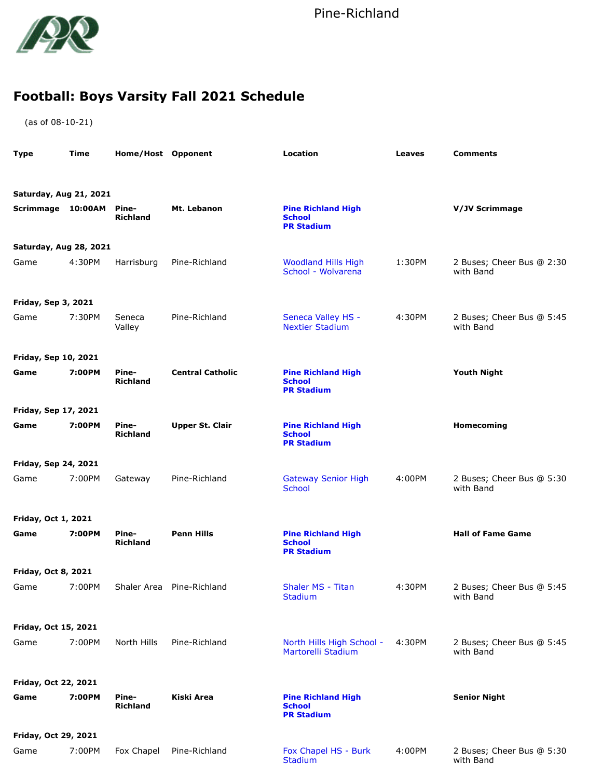

## **Football: Boys Varsity Fall 2021 Schedule**

(as of 08-10-21)

| <b>Type</b>                 | Time   | Home/Host Opponent       |                           | Location                                                        | <b>Leaves</b> | <b>Comments</b>                        |
|-----------------------------|--------|--------------------------|---------------------------|-----------------------------------------------------------------|---------------|----------------------------------------|
|                             |        |                          |                           |                                                                 |               |                                        |
| Saturday, Aug 21, 2021      |        |                          |                           |                                                                 |               |                                        |
| Scrimmage 10:00AM Pine-     |        | Richland                 | Mt. Lebanon               | <b>Pine Richland High</b><br><b>School</b><br><b>PR Stadium</b> |               | V/JV Scrimmage                         |
| Saturday, Aug 28, 2021      |        |                          |                           |                                                                 |               |                                        |
| Game                        | 4:30PM | Harrisburg               | Pine-Richland             | <b>Woodland Hills High</b><br>School - Wolvarena                | 1:30PM        | 2 Buses; Cheer Bus @ 2:30<br>with Band |
| <b>Friday, Sep 3, 2021</b>  |        |                          |                           |                                                                 |               |                                        |
| Game                        | 7:30PM | Seneca<br>Valley         | Pine-Richland             | Seneca Valley HS -<br><b>Nextier Stadium</b>                    | 4:30PM        | 2 Buses; Cheer Bus @ 5:45<br>with Band |
| <b>Friday, Sep 10, 2021</b> |        |                          |                           |                                                                 |               |                                        |
| Game                        | 7:00PM | Pine-<br><b>Richland</b> | <b>Central Catholic</b>   | <b>Pine Richland High</b><br><b>School</b><br><b>PR Stadium</b> |               | <b>Youth Night</b>                     |
| Friday, Sep 17, 2021        |        |                          |                           |                                                                 |               |                                        |
| Game                        | 7:00PM | Pine-<br><b>Richland</b> | <b>Upper St. Clair</b>    | <b>Pine Richland High</b><br><b>School</b><br><b>PR Stadium</b> |               | Homecoming                             |
| <b>Friday, Sep 24, 2021</b> |        |                          |                           |                                                                 |               |                                        |
| Game                        | 7:00PM | Gateway                  | Pine-Richland             | <b>Gateway Senior High</b><br><b>School</b>                     | 4:00PM        | 2 Buses; Cheer Bus @ 5:30<br>with Band |
| Friday, Oct 1, 2021         |        |                          |                           |                                                                 |               |                                        |
| Game                        | 7:00PM | Pine-<br><b>Richland</b> | <b>Penn Hills</b>         | <b>Pine Richland High</b><br><b>School</b><br><b>PR Stadium</b> |               | <b>Hall of Fame Game</b>               |
| <b>Friday, Oct 8, 2021</b>  |        |                          |                           |                                                                 |               |                                        |
| Game                        | 7:00PM |                          | Shaler Area Pine-Richland | Shaler MS - Titan<br>Stadium                                    | 4:30PM        | 2 Buses; Cheer Bus @ 5:45<br>with Band |
| Friday, Oct 15, 2021        |        |                          |                           |                                                                 |               |                                        |
| Game                        | 7:00PM | North Hills              | Pine-Richland             | North Hills High School -<br>Martorelli Stadium                 | 4:30PM        | 2 Buses; Cheer Bus @ 5:45<br>with Band |
| Friday, Oct 22, 2021        |        |                          |                           |                                                                 |               |                                        |
| Game                        | 7:00PM | Pine-<br><b>Richland</b> | Kiski Area                | <b>Pine Richland High</b><br><b>School</b><br><b>PR Stadium</b> |               | <b>Senior Night</b>                    |
| Friday, Oct 29, 2021        |        |                          |                           |                                                                 |               |                                        |
| Game                        | 7:00PM | Fox Chapel               | Pine-Richland             | Fox Chapel HS - Burk<br>Stadium                                 | 4:00PM        | 2 Buses; Cheer Bus @ 5:30<br>with Band |